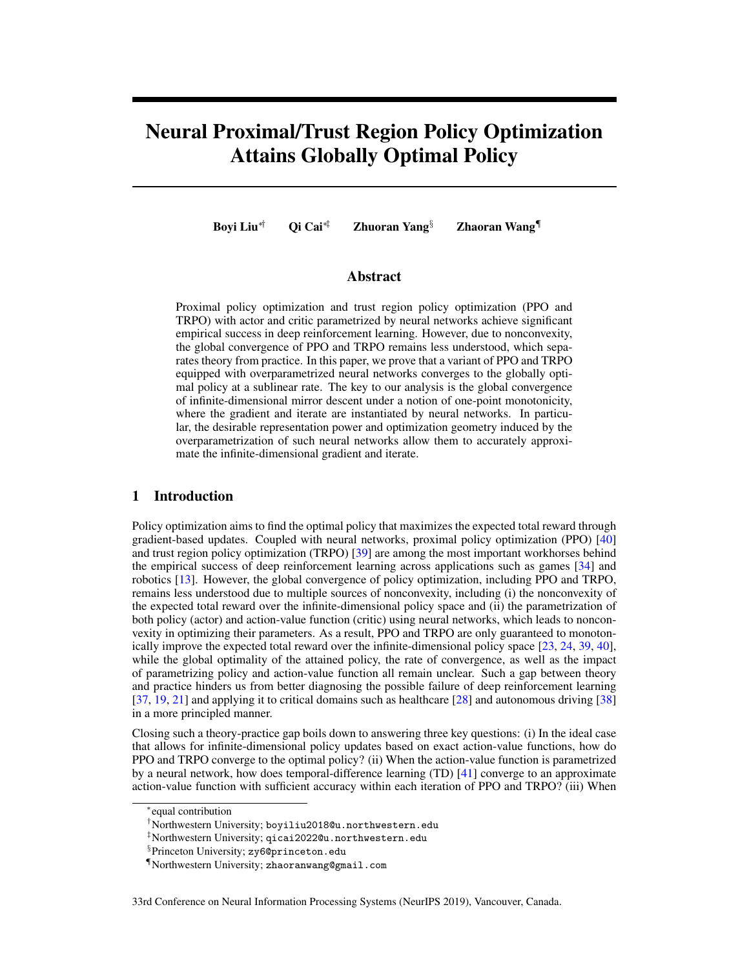# Neural Proximal/Trust Region Policy Optimization Attains Globally Optimal Policy

Boyi Liu⇤*†* Qi Cai⇤*‡* Zhuoran Yang*§* Zhaoran Wang*¶*

## Abstract

Proximal policy optimization and trust region policy optimization (PPO and TRPO) with actor and critic parametrized by neural networks achieve significant empirical success in deep reinforcement learning. However, due to nonconvexity, the global convergence of PPO and TRPO remains less understood, which separates theory from practice. In this paper, we prove that a variant of PPO and TRPO equipped with overparametrized neural networks converges to the globally optimal policy at a sublinear rate. The key to our analysis is the global convergence of infinite-dimensional mirror descent under a notion of one-point monotonicity, where the gradient and iterate are instantiated by neural networks. In particular, the desirable representation power and optimization geometry induced by the overparametrization of such neural networks allow them to accurately approximate the infinite-dimensional gradient and iterate.

## 1 Introduction

Policy optimization aims to find the optimal policy that maximizes the expected total reward through gradient-based updates. Coupled with neural networks, proximal policy optimization (PPO) [40] and trust region policy optimization (TRPO) [39] are among the most important workhorses behind the empirical success of deep reinforcement learning across applications such as games [34] and robotics [13]. However, the global convergence of policy optimization, including PPO and TRPO, remains less understood due to multiple sources of nonconvexity, including (i) the nonconvexity of the expected total reward over the infinite-dimensional policy space and (ii) the parametrization of both policy (actor) and action-value function (critic) using neural networks, which leads to nonconvexity in optimizing their parameters. As a result, PPO and TRPO are only guaranteed to monotonically improve the expected total reward over the infinite-dimensional policy space [23, 24, 39, 40], while the global optimality of the attained policy, the rate of convergence, as well as the impact of parametrizing policy and action-value function all remain unclear. Such a gap between theory and practice hinders us from better diagnosing the possible failure of deep reinforcement learning [37, 19, 21] and applying it to critical domains such as healthcare [28] and autonomous driving [38] in a more principled manner.

Closing such a theory-practice gap boils down to answering three key questions: (i) In the ideal case that allows for infinite-dimensional policy updates based on exact action-value functions, how do PPO and TRPO converge to the optimal policy? (ii) When the action-value function is parametrized by a neural network, how does temporal-difference learning (TD) [41] converge to an approximate action-value function with sufficient accuracy within each iteration of PPO and TRPO? (iii) When

33rd Conference on Neural Information Processing Systems (NeurIPS 2019), Vancouver, Canada.

<sup>⇤</sup>equal contribution

*<sup>†</sup>*Northwestern University; boyiliu2018@u.northwestern.edu

*<sup>‡</sup>*Northwestern University; qicai2022@u.northwestern.edu

*<sup>§</sup>*Princeton University; zy6@princeton.edu

*<sup>¶</sup>*Northwestern University; zhaoranwang@gmail.com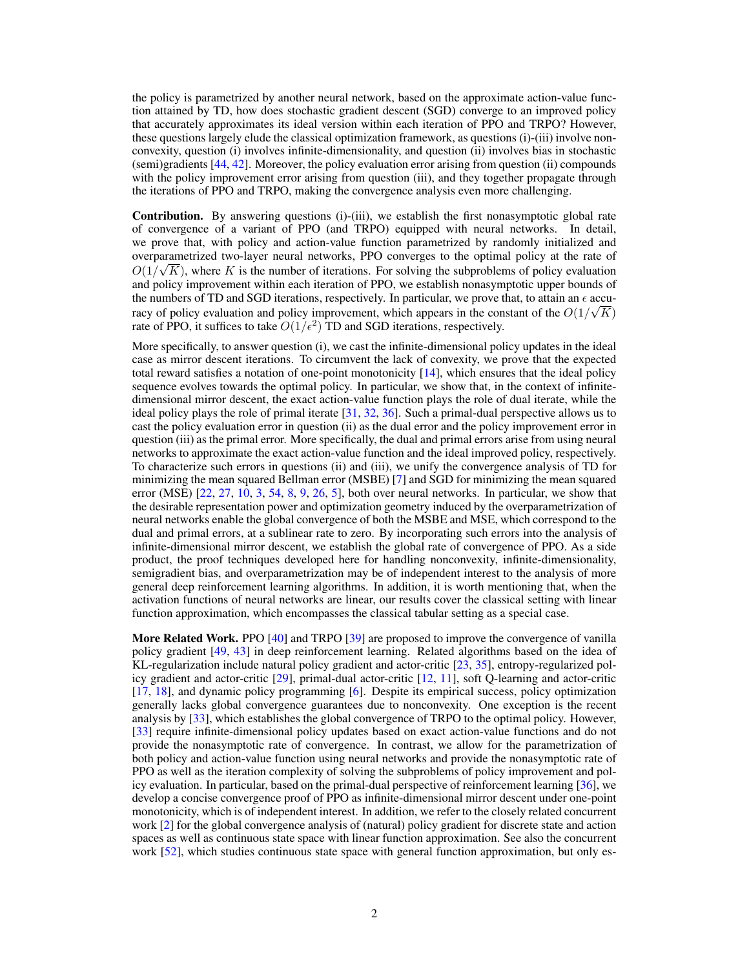the policy is parametrized by another neural network, based on the approximate action-value function attained by TD, how does stochastic gradient descent (SGD) converge to an improved policy that accurately approximates its ideal version within each iteration of PPO and TRPO? However, these questions largely elude the classical optimization framework, as questions (i)-(iii) involve nonconvexity, question (i) involves infinite-dimensionality, and question (ii) involves bias in stochastic (semi)gradients [44, 42]. Moreover, the policy evaluation error arising from question (ii) compounds with the policy improvement error arising from question (iii), and they together propagate through the iterations of PPO and TRPO, making the convergence analysis even more challenging.

Contribution. By answering questions (i)-(iii), we establish the first nonasymptotic global rate of convergence of a variant of PPO (and TRPO) equipped with neural networks. In detail, we prove that, with policy and action-value function parametrized by randomly initialized and overparametrized two-layer neural networks, PPO converges to the optimal policy at the rate of  $O(1/\sqrt{K})$ , where *K* is the number of iterations. For solving the subproblems of policy evaluation and policy improvement within each iteration of PPO, we establish nonasymptotic upper bounds of the numbers of TD and SGD iterations, respectively. In particular, we prove that, to attain an  $\epsilon$  accuracy of policy evaluation and policy improvement, which appears in the constant of the  $O(1/\sqrt{K})$ rate of PPO, it suffices to take  $O(1/\epsilon^2)$  TD and SGD iterations, respectively.

More specifically, to answer question (i), we cast the infinite-dimensional policy updates in the ideal case as mirror descent iterations. To circumvent the lack of convexity, we prove that the expected total reward satisfies a notation of one-point monotonicity  $[14]$ , which ensures that the ideal policy sequence evolves towards the optimal policy. In particular, we show that, in the context of infinitedimensional mirror descent, the exact action-value function plays the role of dual iterate, while the ideal policy plays the role of primal iterate [31, 32, 36]. Such a primal-dual perspective allows us to cast the policy evaluation error in question (ii) as the dual error and the policy improvement error in question (iii) as the primal error. More specifically, the dual and primal errors arise from using neural networks to approximate the exact action-value function and the ideal improved policy, respectively. To characterize such errors in questions (ii) and (iii), we unify the convergence analysis of TD for minimizing the mean squared Bellman error (MSBE) [7] and SGD for minimizing the mean squared error (MSE)  $[22, 27, 10, 3, 54, 8, 9, 26, 5]$ , both over neural networks. In particular, we show that the desirable representation power and optimization geometry induced by the overparametrization of neural networks enable the global convergence of both the MSBE and MSE, which correspond to the dual and primal errors, at a sublinear rate to zero. By incorporating such errors into the analysis of infinite-dimensional mirror descent, we establish the global rate of convergence of PPO. As a side product, the proof techniques developed here for handling nonconvexity, infinite-dimensionality, semigradient bias, and overparametrization may be of independent interest to the analysis of more general deep reinforcement learning algorithms. In addition, it is worth mentioning that, when the activation functions of neural networks are linear, our results cover the classical setting with linear function approximation, which encompasses the classical tabular setting as a special case.

More Related Work. PPO [40] and TRPO [39] are proposed to improve the convergence of vanilla policy gradient [49, 43] in deep reinforcement learning. Related algorithms based on the idea of KL-regularization include natural policy gradient and actor-critic [23, 35], entropy-regularized policy gradient and actor-critic [29], primal-dual actor-critic [12, 11], soft Q-learning and actor-critic [17, 18], and dynamic policy programming [6]. Despite its empirical success, policy optimization generally lacks global convergence guarantees due to nonconvexity. One exception is the recent analysis by [33], which establishes the global convergence of TRPO to the optimal policy. However, [33] require infinite-dimensional policy updates based on exact action-value functions and do not provide the nonasymptotic rate of convergence. In contrast, we allow for the parametrization of both policy and action-value function using neural networks and provide the nonasymptotic rate of PPO as well as the iteration complexity of solving the subproblems of policy improvement and policy evaluation. In particular, based on the primal-dual perspective of reinforcement learning [36], we develop a concise convergence proof of PPO as infinite-dimensional mirror descent under one-point monotonicity, which is of independent interest. In addition, we refer to the closely related concurrent work [2] for the global convergence analysis of (natural) policy gradient for discrete state and action spaces as well as continuous state space with linear function approximation. See also the concurrent work [52], which studies continuous state space with general function approximation, but only es-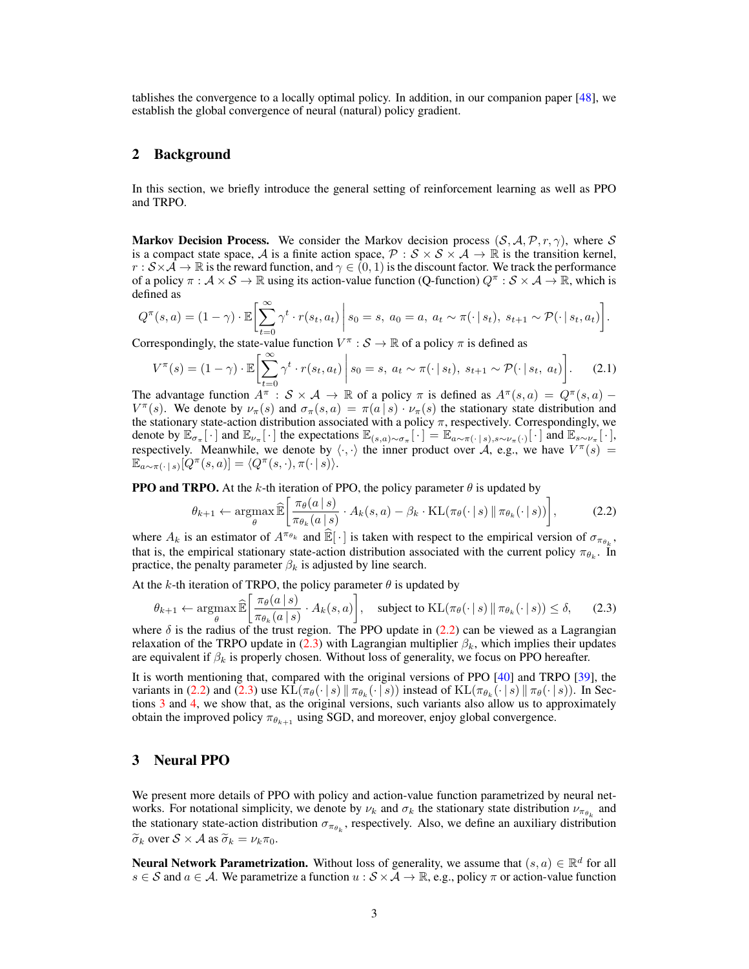tablishes the convergence to a locally optimal policy. In addition, in our companion paper [48], we establish the global convergence of neural (natural) policy gradient.

# 2 Background

In this section, we briefly introduce the general setting of reinforcement learning as well as PPO and TRPO.

**Markov Decision Process.** We consider the Markov decision process  $(S, \mathcal{A}, \mathcal{P}, r, \gamma)$ , where *S* is a compact state space, *A* is a finite action space,  $\mathcal{P}: \mathcal{S} \times \mathcal{S} \times \mathcal{A} \rightarrow \mathbb{R}$  is the transition kernel,  $r : S \times A \to \mathbb{R}$  is the reward function, and  $\gamma \in (0,1)$  is the discount factor. We track the performance of a policy  $\pi : \mathcal{A} \times \mathcal{S} \to \mathbb{R}$  using its action-value function (Q-function)  $Q^{\pi} : \mathcal{S} \times \mathcal{A} \to \mathbb{R}$ , which is defined as

$$
Q^{\pi}(s, a) = (1 - \gamma) \cdot \mathbb{E}\left[\sum_{t=0}^{\infty} \gamma^{t} \cdot r(s_t, a_t)\middle| s_0 = s, a_0 = a, a_t \sim \pi(\cdot \mid s_t), s_{t+1} \sim \mathcal{P}(\cdot \mid s_t, a_t)\right].
$$

Correspondingly, the state-value function  $V^{\pi}$  :  $S \to \mathbb{R}$  of a policy  $\pi$  is defined as

$$
V^{\pi}(s) = (1 - \gamma) \cdot \mathbb{E}\left[\sum_{t=0}^{\infty} \gamma^t \cdot r(s_t, a_t) \middle| s_0 = s, a_t \sim \pi(\cdot \mid s_t), s_{t+1} \sim \mathcal{P}(\cdot \mid s_t, a_t)\right].
$$
 (2.1)

The advantage function  $A^{\pi}: S \times \mathcal{A} \to \mathbb{R}$  of a policy  $\pi$  is defined as  $A^{\pi}(s, a) = Q^{\pi}(s, a)$  $V^{\pi}(s)$ . We denote by  $\nu_{\pi}(s)$  and  $\sigma_{\pi}(s, a) = \pi(a|s) \cdot \nu_{\pi}(s)$  the stationary state distribution and the stationary state-action distribution associated with a policy  $\pi$ , respectively. Correspondingly, we denote by  $\mathbb{E}_{\sigma_{\pi}}[\cdot]$  and  $\mathbb{E}_{\nu_{\pi}}[\cdot]$  the expectations  $\mathbb{E}_{(s,a)\sim\sigma_{\pi}}[\cdot] = \mathbb{E}_{a\sim\pi(\cdot|s),s\sim\nu_{\pi}(\cdot)}[\cdot]$  and  $\mathbb{E}_{s\sim\nu_{\pi}}[\cdot]$ , respectively. Meanwhile, we denote by  $\langle \cdot, \cdot \rangle$  the inner product over *A*, e.g., we have  $V^{\pi}(s)$  =  $\mathbb{E}_{a \sim \pi(\cdot | s)}[Q^{\pi}(s, a)] = \langle Q^{\pi}(s, \cdot), \pi(\cdot | s) \rangle.$ 

**PPO and TRPO.** At the  $k$ -th iteration of PPO, the policy parameter  $\theta$  is updated by

$$
\theta_{k+1} \leftarrow \underset{\theta}{\operatorname{argmax}} \, \widehat{\mathbb{E}} \left[ \frac{\pi_{\theta}(a \, | \, s)}{\pi_{\theta_k}(a \, | \, s)} \cdot A_k(s, a) - \beta_k \cdot \operatorname{KL}(\pi_{\theta}(\cdot \, | \, s) \, \| \, \pi_{\theta_k}(\cdot \, | \, s)) \right],\tag{2.2}
$$

where  $A_k$  is an estimator of  $A^{\pi_{\theta_k}}$  and  $\mathbb{E}[\cdot]$  is taken with respect to the empirical version of  $\sigma_{\pi_{\theta_k}}$ , that is, the empirical stationary state-action distribution associated with the current policy  $\pi_{\theta_k}$ . In practice, the penalty parameter  $\beta_k$  is adjusted by line search.

At the  $k$ -th iteration of TRPO, the policy parameter  $\theta$  is updated by

$$
\theta_{k+1} \leftarrow \underset{\theta}{\operatorname{argmax}} \, \widehat{\mathbb{E}} \left[ \frac{\pi_{\theta}(a \, | \, s)}{\pi_{\theta_k}(a \, | \, s)} \cdot A_k(s, a) \right], \quad \text{subject to } \mathrm{KL}(\pi_{\theta}(\cdot \, | \, s) \, \| \, \pi_{\theta_k}(\cdot \, | \, s)) \le \delta, \tag{2.3}
$$

where  $\delta$  is the radius of the trust region. The PPO update in (2.2) can be viewed as a Lagrangian relaxation of the TRPO update in (2.3) with Lagrangian multiplier  $\beta_k$ , which implies their updates are equivalent if  $\beta_k$  is properly chosen. Without loss of generality, we focus on PPO hereafter.

It is worth mentioning that, compared with the original versions of PPO [40] and TRPO [39], the variants in (2.2) and (2.3) use  $KL(\pi_{\theta}(\cdot | s) \| \pi_{\theta_k}(\cdot | s))$  instead of  $KL(\pi_{\theta_k}(\cdot | s) \| \pi_{\theta}(\cdot | s))$ . In Sections 3 and 4, we show that, as the original versions, such variants also allow us to approximately obtain the improved policy  $\pi_{\theta_{k+1}}$  using SGD, and moreover, enjoy global convergence.

# 3 Neural PPO

We present more details of PPO with policy and action-value function parametrized by neural networks. For notational simplicity, we denote by  $\nu_k$  and  $\sigma_k$  the stationary state distribution  $\nu_{\pi_{\rho_k}}$  and the stationary state-action distribution  $\sigma_{\pi_{\theta_k}}$ , respectively. Also, we define an auxiliary distribution  $\widetilde{\sigma}_k$  over  $\mathcal{S} \times \mathcal{A}$  as  $\widetilde{\sigma}_k = \nu_k \pi_0$ .

**Neural Network Parametrization.** Without loss of generality, we assume that  $(s, a) \in \mathbb{R}^d$  for all  $s \in S$  and  $a \in A$ . We parametrize a function  $u : S \times A \to \mathbb{R}$ , e.g., policy  $\pi$  or action-value function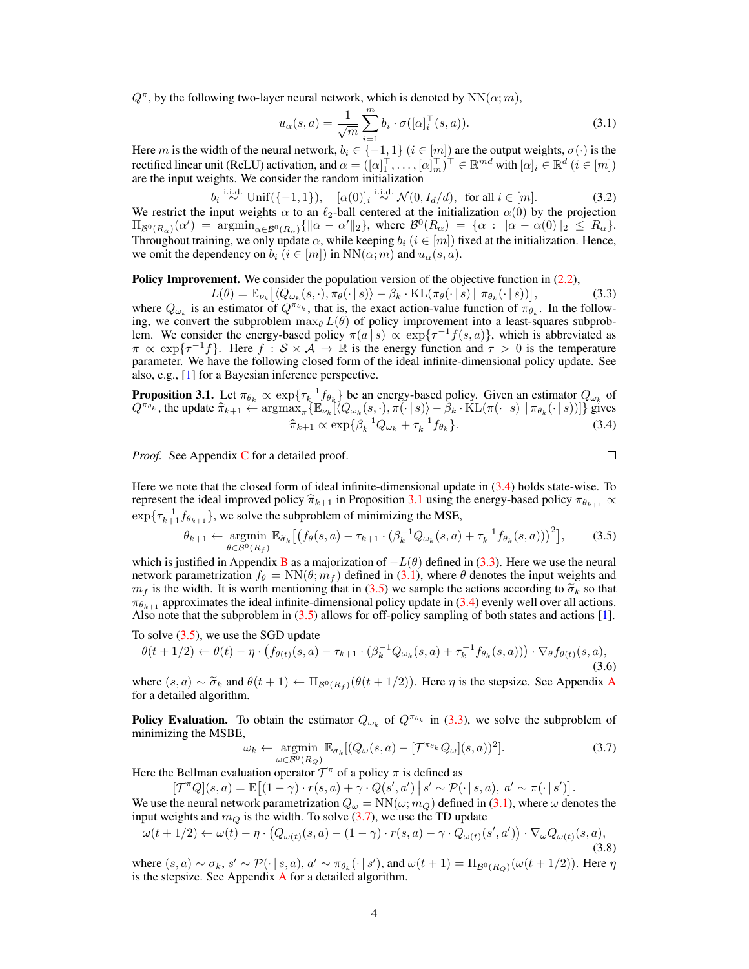$Q^{\pi}$ , by the following two-layer neural network, which is denoted by  $NN(\alpha; m)$ ,

$$
u_{\alpha}(s,a) = \frac{1}{\sqrt{m}} \sum_{i=1}^{m} b_i \cdot \sigma([\alpha]_i^{\top}(s,a)).
$$
\n(3.1)

Here *m* is the width of the neural network,  $b_i \in \{-1, 1\}$  ( $i \in [m]$ ) are the output weights,  $\sigma(\cdot)$  is the rectified linear unit (ReLU) activation, and  $\alpha = ([\alpha]_1^\top, \ldots, [\alpha]_m^\top)^\top \in \mathbb{R}^{md}$  with  $[\alpha]_i \in \mathbb{R}^d$   $(i \in [m])$ are the input weights. We consider the random initialization

 $b_i \stackrel{\text{i.i.d.}}{\sim} \text{Unif}(\{-1,1\}), \quad [\alpha(0)]_i \stackrel{\text{i.i.d.}}{\sim} \mathcal{N}(0, I_d/d), \text{ for all } i \in [m].$  (3.2) We restrict the input weights  $\alpha$  to an  $\ell_2$ -ball centered at the initialization  $\alpha(0)$  by the projection  $\Pi_{\mathcal{B}^0(R_\alpha)}(\alpha') = \operatorname{argmin}_{\alpha \in \mathcal{B}^0(R_\alpha)} \{ \|\alpha - \alpha'\|_2 \}, \text{ where } \mathcal{B}^0(R_\alpha) = \{ \alpha : \|\alpha - \alpha(0)\|_2 \leq R_\alpha \}.$ Throughout training, we only update  $\alpha$ , while keeping  $b_i$  ( $i \in [m]$ ) fixed at the initialization. Hence, we omit the dependency on  $b_i$  ( $i \in [m]$ ) in  $NN(\alpha; m)$  and  $u_\alpha(s, a)$ .

Policy Improvement. We consider the population version of the objective function in  $(2.2)$ ,

$$
L(\theta) = \mathbb{E}_{\nu_k} \left[ \langle Q_{\omega_k}(s, \cdot), \pi_\theta(\cdot \mid s) \rangle - \beta_k \cdot \text{KL}(\pi_\theta(\cdot \mid s) \parallel \pi_{\theta_k}(\cdot \mid s)) \right],\tag{3.3}
$$

where  $Q_{\omega_k}$  is an estimator of  $Q^{\pi_{\theta_k}}$ , that is, the exact action-value function of  $\pi_{\theta_k}$ . In the following, we convert the subproblem  $\max_{\theta} L(\theta)$  of policy improvement into a least-squares subproblem. We consider the energy-based policy  $\pi(a|s) \propto \exp\{\tau^{-1}f(s,a)\}\,$ , which is abbreviated as  $\pi \propto \exp{\lbrace \tau^{-1}f \rbrace}$ . Here  $f : S \times A \to \mathbb{R}$  is the energy function and  $\tau > 0$  is the temperature parameter. We have the following closed form of the ideal infinite-dimensional policy update. See also, e.g., [1] for a Bayesian inference perspective.

**Proposition 3.1.** Let  $\pi_{\theta_k} \propto \exp\{\tau_{k}^{-1}f_{\theta_k}\}\)$  be an energy-based policy. Given an estimator  $Q_{\omega_k}$  of  $Q^{\pi_{\theta_k}}$ , the update  $\widehat{\pi}_{k+1} \leftarrow \operatorname{argmax}_{\pi} \{\mathbb{E}_{\nu_k}[(Q_{\omega_k}(s,\cdot), \pi(\cdot | s)) - \widehat{\beta}_k \cdot \text{KL}(\pi(\cdot | s) \|\pi_{\theta_k}(\cdot | s))]\}$  gives  $\hat{\pi}_{k+1} \propto \exp\{\beta_k^{-1} Q_{\omega_k} + \tau_k^{-1} f_{\theta_k}\}.$ (3.4)

*Proof.* See Appendix C for a detailed proof.

 $\Box$ 

Here we note that the closed form of ideal infinite-dimensional update in (3.4) holds state-wise. To represent the ideal improved policy  $\hat{\pi}_{k+1}$  in Proposition 3.1 using the energy-based policy  $\pi_{\theta_{k+1}} \propto$  $\exp{\{\tau_{k+1}^{-1}f_{\theta_{k+1}}\}}$ , we solve the subproblem of minimizing the MSE,

$$
\theta_{k+1} \leftarrow \underset{\theta \in \mathcal{B}^0(R_f)}{\operatorname{argmin}} \mathbb{E}_{\widetilde{\sigma}_k} \left[ \left( f_{\theta}(s, a) - \tau_{k+1} \cdot (\beta_k^{-1} Q_{\omega_k}(s, a) + \tau_k^{-1} f_{\theta_k}(s, a)) \right)^2 \right],\tag{3.5}
$$

which is justified in Appendix **B** as a majorization of  $-L(\theta)$  defined in (3.3). Here we use the neural network parametrization  $f_{\theta} = NN(\theta; m_f)$  defined in (3.1), where  $\theta$  denotes the input weights and  $m_f$  is the width. It is worth mentioning that in (3.5) we sample the actions according to  $\tilde{\sigma}_k$  so that  $\pi_{\theta_{k+1}}$  approximates the ideal infinite-dimensional policy update in (3.4) evenly well over all actions. Also note that the subproblem in (3.5) allows for off-policy sampling of both states and actions [1].

To solve 
$$
(3.5)
$$
, we use the SGD update

$$
\theta(t+1/2) \leftarrow \theta(t) - \eta \cdot \left(f_{\theta(t)}(s,a) - \tau_{k+1} \cdot (\beta_k^{-1} Q_{\omega_k}(s,a) + \tau_k^{-1} f_{\theta_k}(s,a))\right) \cdot \nabla_{\theta} f_{\theta(t)}(s,a),\tag{3.6}
$$

where  $(s, a) \sim \tilde{\sigma}_k$  and  $\theta(t+1) \leftarrow \Pi_{\mathcal{B}^0(R_f)}(\theta(t+1/2))$ . Here  $\eta$  is the stepsize. See Appendix A for a detailed algorithm.

**Policy Evaluation.** To obtain the estimator  $Q_{\omega_k}$  of  $Q^{\pi_{\theta_k}}$  in (3.3), we solve the subproblem of minimizing the MSBE,

$$
\omega_k \leftarrow \underset{\omega \in \mathcal{B}^0(R_Q)}{\operatorname{argmin}} \mathbb{E}_{\sigma_k} [(Q_{\omega}(s, a) - [\mathcal{T}^{\pi_{\theta_k}} Q_{\omega}](s, a))^2]. \tag{3.7}
$$

Here the Bellman evaluation operator  $\mathcal{T}^{\pi}$  of a policy  $\pi$  is defined as  $[\mathcal{T}^{\pi}O](s, a) = \mathbb{E}[(1 - \gamma) \cdot r(s, a) + \gamma \cdot O(s', a') | s' \sim \mathcal{P}$ 

$$
[\mathcal{T}^{\pi}Q](s,a) = \mathbb{E}\big[(1-\gamma)\cdot r(s,a) + \gamma\cdot Q(s',a')\,\big|\, s' \sim \mathcal{P}(\cdot\,|\, s,a),\, a' \sim \pi(\cdot\,|\, s')\big].
$$

We use the neural network parametrization  $Q_{\omega} = NN(\omega; m_Q)$  defined in (3.1), where  $\omega$  denotes the input weights and  $m_Q$  is the width. To solve  $(3.7)$ , we use the TD update

$$
\omega(t+1/2) \leftarrow \omega(t) - \eta \cdot \left(Q_{\omega(t)}(s, a) - (1 - \gamma) \cdot r(s, a) - \gamma \cdot Q_{\omega(t)}(s', a')\right) \cdot \nabla_{\omega} Q_{\omega(t)}(s, a),\tag{3.8}
$$

where  $(s, a) \sim \sigma_k$ ,  $s' \sim \mathcal{P}(\cdot | s, a)$ ,  $a' \sim \pi_{\theta_k}(\cdot | s')$ , and  $\omega(t+1) = \Pi_{\mathcal{B}^0(R_Q)}(\omega(t+1/2))$ . Here  $\eta$ is the stepsize. See Appendix  $\overline{A}$  for a detailed algorithm.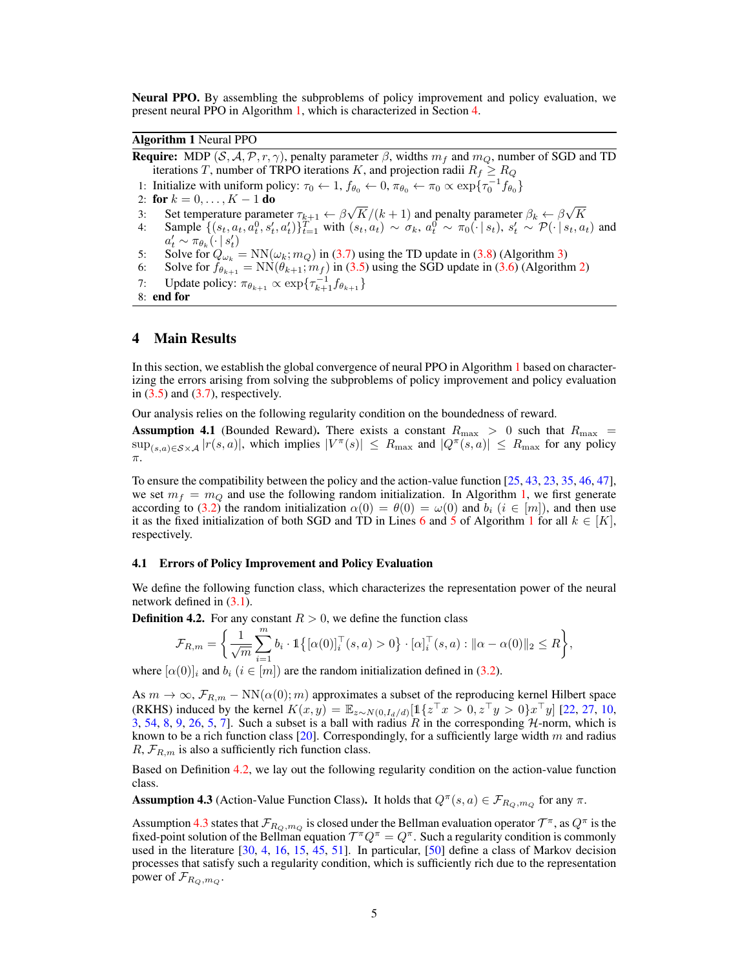Neural PPO. By assembling the subproblems of policy improvement and policy evaluation, we present neural PPO in Algorithm 1, which is characterized in Section 4.

Algorithm 1 Neural PPO

**Require:** MDP (*S, A, P, r,*  $\gamma$ *)*, penalty parameter  $\beta$ , widths  $m_f$  and  $m_Q$ , number of SGD and TD iterations *T*, number of TRPO iterations *K*, and projection radii  $R_f \geq R_Q$ 1: Initialize with uniform policy:  $\tau_0 \leftarrow 1$ ,  $f_{\theta_0} \leftarrow 0$ ,  $\pi_{\theta_0} \leftarrow \pi_0 \propto \exp\{\tau_0^{-1} f_{\theta_0}\}$ 2: for  $k = 0, ..., K - 1$  do<br>3: Set temperature paraments 3: Set temperature parameter  $\tau_{k+1} \leftarrow \frac{\beta \sqrt{K}}{k+1}$  and penalty parameter  $\beta_k \leftarrow \frac{\beta \sqrt{K}}{k+1}$ 4: Sample  $\{(s_t, a_t, a_t^0, s_t', a_t')\}_{t=1}^T$  with  $(s_t, a_t) \sim \sigma_k$ ,  $a_t^0 \sim \pi_0(\cdot | s_t)$ ,  $s_t' \sim \mathcal{P}(\cdot | s_t, a_t)$  and  $a'_t \sim \pi_{\theta_k}(\cdot \mid s'_t)$ 5: Solve for  $Q_{\omega_k} = NN(\omega_k; m_Q)$  in (3.7) using the TD update in (3.8) (Algorithm 3) 6: Solve for  $f_{\theta_{k+1}} = \text{NN}(\theta_{k+1}; m_f)$  in (3.5) using the SGD update in (3.6) (Algorithm 2) 7: Update policy:  $\pi_{\theta_{k+1}} \propto \exp\{\tau_{k+1}^{-1}f_{\theta_{k+1}}\}$ 8: end for

### 4 Main Results

In this section, we establish the global convergence of neural PPO in Algorithm 1 based on characterizing the errors arising from solving the subproblems of policy improvement and policy evaluation in  $(3.5)$  and  $(3.7)$ , respectively.

Our analysis relies on the following regularity condition on the boundedness of reward.

**Assumption 4.1** (Bounded Reward). There exists a constant  $R_{\text{max}} > 0$  such that  $R_{\text{max}} =$  $\sup_{(s,a)\in S\times A} |r(s,a)|$ , which implies  $|V^{\pi}(s)| \le R_{\max}$  and  $|Q^{\pi}(s,a)| \le R_{\max}$  for any policy  $\pi$ .

To ensure the compatibility between the policy and the action-value function [25, 43, 23, 35, 46, 47], we set  $m_f = m_Q$  and use the following random initialization. In Algorithm 1, we first generate according to (3.2) the random initialization  $\alpha(0) = \theta(0) = \omega(0)$  and  $b_i$  ( $i \in [m]$ ), and then use it as the fixed initialization of both SGD and TD in Lines 6 and 5 of Algorithm 1 for all  $k \in [K]$ , respectively.

#### 4.1 Errors of Policy Improvement and Policy Evaluation

We define the following function class, which characterizes the representation power of the neural network defined in (3.1).

**Definition 4.2.** For any constant  $R > 0$ , we define the function class

$$
\mathcal{F}_{R,m} = \left\{ \frac{1}{\sqrt{m}} \sum_{i=1}^{m} b_i \cdot \mathbb{1} \{ [\alpha(0)]_i^{\top}(s, a) > 0 \} \cdot [\alpha]_i^{\top}(s, a) : ||\alpha - \alpha(0)||_2 \le R \right\},\
$$

where  $[\alpha(0)]_i$  and  $b_i$  ( $i \in [m]$ ) are the random initialization defined in (3.2).

As  $m \to \infty$ ,  $\mathcal{F}_{R,m}$  - NN( $\alpha(0); m$ ) approximates a subset of the reproducing kernel Hilbert space (RKHS) induced by the kernel  $K(x, y) = \mathbb{E}_{z \sim N(0, I_d/d)}[1\{z^{\top}x > 0, z^{\top}y > 0\}x^{\top}y]$  [22, 27, 10, 3, 54, 8, 9, 26, 5, 7]. Such a subset is a ball with radius  $\hat{R}$  in the corresponding  $\hat{H}$ -norm, which is known to be a rich function class [20]. Correspondingly, for a sufficiently large width *m* and radius  $R, \mathcal{F}_{R,m}$  is also a sufficiently rich function class.

Based on Definition 4.2, we lay out the following regularity condition on the action-value function class.

Assumption 4.3 (Action-Value Function Class). It holds that  $Q^{\pi}(s, a) \in \mathcal{F}_{R_O, m_O}$  for any  $\pi$ .

Assumption 4.3 states that  $\mathcal{F}_{R_Q,m_Q}$  is closed under the Bellman evaluation operator  $\mathcal{T}^{\pi}$ , as  $Q^{\pi}$  is the fixed-point solution of the Bellman equation  $T^{\pi}Q^{\pi} = Q^{\pi}$ . Such a regularity condition is commonly used in the literature [30, 4, 16, 15, 45, 51]. In particular, [50] define a class of Markov decision processes that satisfy such a regularity condition, which is sufficiently rich due to the representation power of  $\mathcal{F}_{R_O,m_O}$ .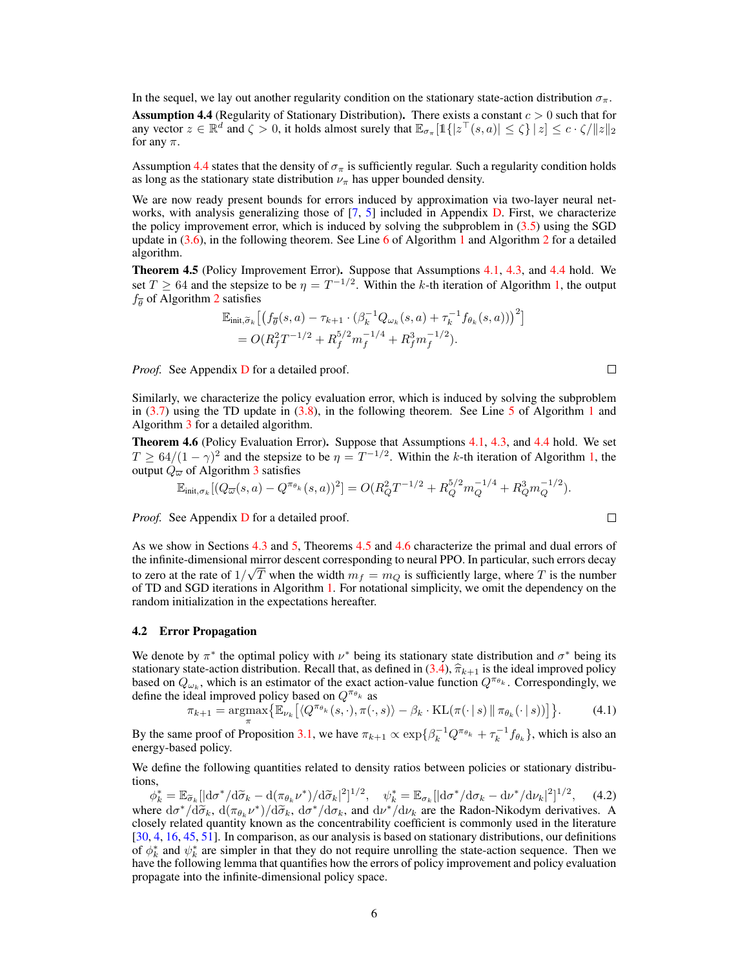In the sequel, we lay out another regularity condition on the stationary state-action distribution  $\sigma_{\pi}$ .

Assumption 4.4 (Regularity of Stationary Distribution). There exists a constant *c >* 0 such that for any vector  $z \in \mathbb{R}^d$  and  $\zeta > 0$ , it holds almost surely that  $\mathbb{E}_{\sigma_x}[\mathbb{1}\{|z^\top(s, a)| \leq \zeta\} |z| \leq c \cdot \zeta / \|z\|_2$ for any  $\pi$ .

Assumption 4.4 states that the density of  $\sigma_{\pi}$  is sufficiently regular. Such a regularity condition holds as long as the stationary state distribution  $\nu_{\pi}$  has upper bounded density.

We are now ready present bounds for errors induced by approximation via two-layer neural networks, with analysis generalizing those of [7, 5] included in Appendix D. First, we characterize the policy improvement error, which is induced by solving the subproblem in (3.5) using the SGD update in  $(3.6)$ , in the following theorem. See Line 6 of Algorithm 1 and Algorithm 2 for a detailed algorithm.

Theorem 4.5 (Policy Improvement Error). Suppose that Assumptions 4.1, 4.3, and 4.4 hold. We set  $T \geq 64$  and the stepsize to be  $\eta = T^{-1/2}$ . Within the *k*-th iteration of Algorithm 1, the output  $f_{\overline{a}}$  of Algorithm 2 satisfies

$$
\mathbb{E}_{\text{init}, \widetilde{\sigma}_k} \left[ \left( f_{\overline{\theta}}(s, a) - \tau_{k+1} \cdot (\beta_k^{-1} Q_{\omega_k}(s, a) + \tau_k^{-1} f_{\theta_k}(s, a)) \right)^2 \right] \n= O(R_f^2 T^{-1/2} + R_f^{5/2} m_f^{-1/4} + R_f^3 m_f^{-1/2}).
$$

*Proof.* See Appendix **D** for a detailed proof.

Similarly, we characterize the policy evaluation error, which is induced by solving the subproblem in  $(3.7)$  using the TD update in  $(3.8)$ , in the following theorem. See Line 5 of Algorithm 1 and Algorithm 3 for a detailed algorithm.

Theorem 4.6 (Policy Evaluation Error). Suppose that Assumptions 4.1, 4.3, and 4.4 hold. We set  $T \geq 64/(1 - \gamma)^2$  and the stepsize to be  $\eta = T^{-1/2}$ . Within the *k*-th iteration of Algorithm 1, the output  $Q_{\overline{\omega}}$  of Algorithm 3 satisfies

$$
\mathbb{E}_{\text{init}, \sigma_k} [(Q_{\overline{\omega}}(s, a) - Q^{\pi_{\theta_k}}(s, a))^2] = O(R_Q^2 T^{-1/2} + R_Q^{5/2} m_Q^{-1/4} + R_Q^3 m_Q^{-1/2}).
$$

*Proof.* See Appendix **D** for a detailed proof.

As we show in Sections 4.3 and 5, Theorems 4.5 and 4.6 characterize the primal and dual errors of the infinite-dimensional mirror descent corresponding to neural PPO. In particular, such errors decay to zero at the rate of  $1/\sqrt{T}$  when the width  $m_f = m_Q$  is sufficiently large, where *T* is the number of TD and SGD iterations in Algorithm 1. For notational simplicity, we omit the dependency on the random initialization in the expectations hereafter.

#### 4.2 Error Propagation

We denote by  $\pi^*$  the optimal policy with  $\nu^*$  being its stationary state distribution and  $\sigma^*$  being its stationary state-action distribution. Recall that, as defined in  $(3.4)$ ,  $\hat{\pi}_{k+1}$  is the ideal improved policy based on  $Q_{\omega_k}$ , which is an estimator of the exact action-value function  $Q^{\pi_{\theta_k}}$ . Correspondingly, we define the ideal improved policy based on  $Q^{\pi_{\theta_k}}$  as

$$
\pi_{k+1} = \underset{\pi}{\operatorname{argmax}} \{ \mathbb{E}_{\nu_k} \left[ \langle Q^{\pi_{\theta_k}}(s, \cdot), \pi(\cdot, s) \rangle - \beta_k \cdot \operatorname{KL}(\pi(\cdot \mid s) \, \| \, \pi_{\theta_k}(\cdot \mid s)) \right] \}.
$$
 (4.1)

By the same proof of Proposition 3.1, we have  $\pi_{k+1} \propto \exp\{\beta_k^{-1} Q^{\pi_{\theta_k}} + \tau_k^{-1} f_{\theta_k}\}\$ , which is also an energy-based policy.

We define the following quantities related to density ratios between policies or stationary distributions,

 $\phi_k^* = \mathbb{E}_{\widetilde{\sigma}_k}[\left|\mathrm{d}\sigma^*/\mathrm{d}\widetilde{\sigma}_k - \mathrm{d}(\pi_{\theta_k}\nu^*)/\mathrm{d}\widetilde{\sigma}_k\right|^2]^{1/2}, \quad \psi_k^* = \mathbb{E}_{\sigma_k}[\left|\mathrm{d}\sigma^*/\mathrm{d}\sigma_k - \mathrm{d}\nu^*/\mathrm{d}\nu_k\right|^2]^{1/2}, \quad (4.2)$ where  $d\sigma^*/d\tilde{\sigma}_k$ ,  $d(\pi_{\theta_k} \nu^*)/d\tilde{\sigma}_k$ ,  $d\sigma^*/d\sigma_k$ , and  $d\nu^*/d\nu_k$  are the Radon-Nikodym derivatives. A closely related quantity known as the concentrability coefficient is commonly used in the literature [30, 4, 16, 45, 51]. In comparison, as our analysis is based on stationary distributions, our definitions of  $\phi_k^*$  and  $\psi_k^*$  are simpler in that they do not require unrolling the state-action sequence. Then we have the following lemma that quantifies how the errors of policy improvement and policy evaluation propagate into the infinite-dimensional policy space.

 $\Box$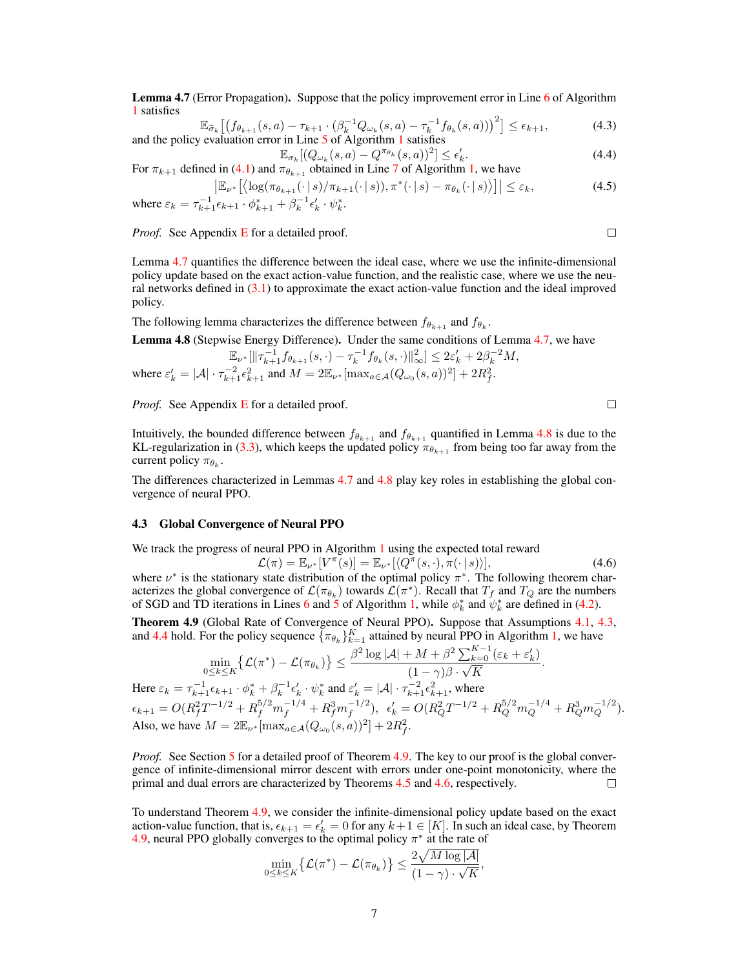Lemma 4.7 (Error Propagation). Suppose that the policy improvement error in Line 6 of Algorithm 1 satisfies

$$
\mathbb{E}_{\widetilde{\sigma}_k} \left[ \left( f_{\theta_{k+1}}(s, a) - \tau_{k+1} \cdot (\beta_k^{-1} Q_{\omega_k}(s, a) - \tau_k^{-1} f_{\theta_k}(s, a)) \right)^2 \right] \le \epsilon_{k+1},\tag{4.3}
$$
  
and the policy evaluation error in Line 5 of Algorithm 1 satisfies

 $\mathbb{E}_{\sigma_k}[(Q_{\omega_k}(s, a) - Q^{\pi_{\theta_k}}(s, a))^2] \leq \epsilon'_k$  $Q_{\omega_k}(s, a) - Q^{\pi_{\theta_k}}(s, a))^2 \le \epsilon'_k.$  (4.4)<br>obtained in Line 7 of Algorithm 1, we have For  $\pi_{k+1}$  defined in (4.1) and  $\pi_{\theta_{k+1}}$  obtained in Line 7 of Algorithm 1, we have

$$
\left| \mathbb{E}_{\nu^*} \left[ \left( \log(\pi_{\theta_{k+1}}(\cdot | s) / \pi_{k+1}(\cdot | s)), \pi^*(\cdot | s) - \pi_{\theta_k}(\cdot | s) \right) \right] \right| \leq \varepsilon_k,
$$
\n(4.5)

where 
$$
\varepsilon_k = \tau_{k+1}^{-1} \epsilon_{k+1} \cdot \phi_{k+1}^* + \beta_k^{-1} \epsilon'_k \cdot \psi_k^*
$$
.

*Proof.* See Appendix E for a detailed proof.

 $\Box$ 

 $\Box$ 

Lemma 4.7 quantifies the difference between the ideal case, where we use the infinite-dimensional policy update based on the exact action-value function, and the realistic case, where we use the neural networks defined in  $(3.1)$  to approximate the exact action-value function and the ideal improved policy.

The following lemma characterizes the difference between  $f_{\theta_{k+1}}$  and  $f_{\theta_k}$ .

**Lemma 4.8** (Stepwise Energy Difference). Under the same conditions of Lemma 4.7, we have\n
$$
\mathbb{E}_{\nu^*}[\|\tau_{k+1}^{-1}f_{\theta_{k+1}}(s,\cdot)-\tau_k^{-1}f_{\theta_k}(s,\cdot)\|_{\infty}^2] \leq 2\varepsilon'_k + 2\beta_k^{-2}M,
$$
\nwhere\n
$$
\varepsilon'_k = |\mathcal{A}| \cdot \tau_{k+1}^{-2} \varepsilon_{k+1}^2
$$
\nand\n
$$
M = 2\mathbb{E}_{\nu^*}[\max_{a \in \mathcal{A}}(Q_{\omega_0}(s, a))^2] + 2R_f^2.
$$

*Proof.* See Appendix E for a detailed proof.

Intuitively, the bounded difference between  $f_{\theta_{k+1}}$  and  $f_{\theta_{k+1}}$  quantified in Lemma 4.8 is due to the KL-regularization in (3.3), which keeps the updated policy  $\pi_{\theta_{k+1}}$  from being too far away from the current policy  $\pi_{\theta_k}$ .

The differences characterized in Lemmas 4.7 and 4.8 play key roles in establishing the global convergence of neural PPO.

#### 4.3 Global Convergence of Neural PPO

We track the progress of neural PPO in Algorithm 1 using the expected total reward

$$
\mathcal{L}(\pi) = \mathbb{E}_{\nu^*}[V^{\pi}(s)] = \mathbb{E}_{\nu^*}[\langle Q^{\pi}(s, \cdot), \pi(\cdot | s) \rangle],
$$
\n(4.6)  
\nInary state distribution of the optimal policy  $\pi^*$ . The following theorem char-

where  $\nu^*$  is the stationary state distribution of the optimal policy  $\pi^*$ . The following theorem characterizes the global convergence of  $\mathcal{L}(\pi_{\theta_k})$  towards  $\mathcal{L}(\pi^*)$ . Recall that  $T_f$  and  $T_Q$  are the numbers of SGD and TD iterations in Lines 6 and 5 of Algorithm 1, while  $\phi_k^*$  and  $\psi_k^*$  are defined in (4.2).

Theorem 4.9 (Global Rate of Convergence of Neural PPO). Suppose that Assumptions 4.1, 4.3, and 4.4 hold. For the policy sequence  ${\{\pi_{\theta_k}\}}_{k=1}^K$  attained by neural PPO in Algorithm 1, we have

$$
\min_{0 \le k \le K} \{ \mathcal{L}(\pi^*) - \mathcal{L}(\pi_{\theta_k}) \} \le \frac{\beta^2 \log |\mathcal{A}| + M + \beta^2 \sum_{k=0}^{K-1} (\varepsilon_k + \varepsilon'_k)}{(1 - \gamma)\beta \cdot \sqrt{K}}.
$$

Here  $\varepsilon_k = \tau_{k+1}^{-1} \epsilon_{k+1} \cdot \phi_k^* + \beta_k^{-1} \epsilon_k' \cdot \psi_k^*$  and  $\varepsilon_k' = |\mathcal{A}| \cdot \tau_{k+1}^{-2} \epsilon_{k+1}^2$ , where  $\epsilon_{k+1} = O(R_f^2 T^{-1/2} + R_f^{5/2} m_f^{-1/4} + R_f^3 m_f^{-1/2}), \ \ \epsilon_k' = O(R_Q^2 T^{-1/2} + R_Q^{5/2} m_Q^{-1/4} + R_Q^3 m_Q^{-1/2}).$ Also, we have  $M = 2\mathbb{E}_{\nu^*}[\max_{a \in \mathcal{A}} (Q_{\omega_0}(s, a))^2] + 2R_f^2$ .

*Proof.* See Section 5 for a detailed proof of Theorem 4.9. The key to our proof is the global convergence of infinite-dimensional mirror descent with errors under one-point monotonicity, where the primal and dual errors are characterized by Theorems 4.5 and 4.6, respectively. □

To understand Theorem 4.9, we consider the infinite-dimensional policy update based on the exact action-value function, that is,  $\epsilon_{k+1} = \epsilon'_{k} = 0$  for any  $k+1 \in [K]$ . In such an ideal case, by Theorem 4.9, neural PPO globally converges to the optimal policy  $\pi^*$  at the rate of

$$
\min_{0 \leq k \leq K} \left\{ \mathcal{L}(\pi^*) - \mathcal{L}(\pi_{\theta_k}) \right\} \leq \frac{2 \sqrt{M \log |\mathcal{A}|}}{(1 - \gamma) \cdot \sqrt{K}},
$$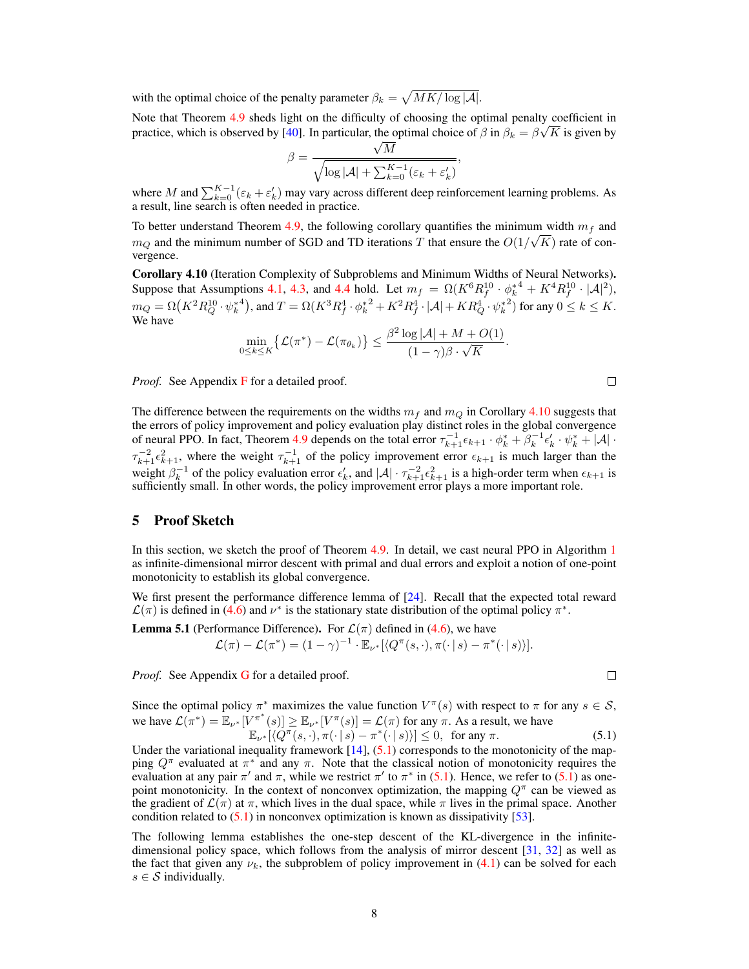with the optimal choice of the penalty parameter  $\beta_k = \sqrt{MK/\log |\mathcal{A}|}.$ 

Note that Theorem 4.9 sheds light on the difficulty of choosing the optimal penalty coefficient in practice, which is observed by [40]. In particular, the optimal choice of  $\beta$  in  $\beta_k = \beta \sqrt{K}$  is given by

$$
\beta = \frac{\sqrt{M}}{\sqrt{\log |\mathcal{A}| + \sum_{k=0}^{K-1} (\varepsilon_k + \varepsilon'_k)}},
$$

where *M* and  $\sum_{k=0}^{K-1} (\varepsilon_k + \varepsilon'_k)$  may vary across different deep reinforcement learning problems. As a result, line search is often needed in practice.

To better understand Theorem 4.9, the following corollary quantifies the minimum width *m<sup>f</sup>* and  $m_Q$  and the minimum number of SGD and TD iterations *T* that ensure the  $O(1/\sqrt{K})$  rate of convergence.

Corollary 4.10 (Iteration Complexity of Subproblems and Minimum Widths of Neural Networks). Suppose that Assumptions 4.1, 4.3, and 4.4 hold. Let  $m_f = \Omega(K^6 R_f^{10} \cdot \phi_k^{*4} + K^4 R_f^{10} \cdot |\mathcal{A}|^2)$ ,  $m_Q = \Omega(K^2 R_Q^{10} \cdot {\psi_k^*}^4)$ , and  $T = \Omega(K^3 R_f^4 \cdot {\phi_k^*}^2 + K^2 R_f^4 \cdot |\mathcal{A}| + K R_Q^4 \cdot {\psi_k^*}^2)$  for any  $0 \le k \le K$ . We have

$$
\min_{0 \le k \le K} \{ \mathcal{L}(\pi^*) - \mathcal{L}(\pi_{\theta_k}) \} \le \frac{\beta^2 \log |\mathcal{A}| + M + O(1)}{(1 - \gamma)\beta \cdot \sqrt{K}}.
$$

*Proof.* See Appendix F for a detailed proof.

The difference between the requirements on the widths  $m_f$  and  $m_Q$  in Corollary 4.10 suggests that the errors of policy improvement and policy evaluation play distinct roles in the global convergence of neural PPO. In fact, Theorem 4.9 depends on the total error  $\tau_{k+1}^{-1} \epsilon_{k+1} \cdot \phi_k^* + \beta_k^{-1} \epsilon_k' \cdot \psi_k^* + |\mathcal{A}| \cdot$  $\tau_{k+1}^{-2} \epsilon_{k+1}^2$ , where the weight  $\tau_{k+1}^{-1}$  of the policy improvement error  $\epsilon_{k+1}$  is much larger than the weight  $\beta_k^{-1}$  of the policy evaluation error  $\epsilon'_k$ , and  $|\mathcal{A}| \cdot \tau_{k+1}^{-2} \epsilon_{k+1}^2$  is a high-order term when  $\epsilon_{k+1}$  is sufficiently small. In other words, the policy improvement error plays a more important role.

# 5 Proof Sketch

In this section, we sketch the proof of Theorem 4.9. In detail, we cast neural PPO in Algorithm 1 as infinite-dimensional mirror descent with primal and dual errors and exploit a notion of one-point monotonicity to establish its global convergence.

We first present the performance difference lemma of [24]. Recall that the expected total reward  $\mathcal{L}(\pi)$  is defined in (4.6) and  $\nu^*$  is the stationary state distribution of the optimal policy  $\pi^*$ .

**Lemma 5.1** (Performance Difference). For  $\mathcal{L}(\pi)$  defined in (4.6), we have  $\mathcal{L}(\pi) - \mathcal{L}(\pi^*) = (1 - \gamma)^{-1} \cdot \mathbb{E}_{\nu^*}[\langle Q^{\pi}(s, \cdot), \pi(\cdot | s) - \pi^*(\cdot | s) \rangle].$ 

*Proof.* See Appendix **G** for a detailed proof.

Since the optimal policy  $\pi^*$  maximizes the value function  $V^{\pi}(s)$  with respect to  $\pi$  for any  $s \in S$ , we have  $\mathcal{L}(\pi^*) = \mathbb{E}_{\nu^*}[V^{\pi^*}(s)] \ge \mathbb{E}_{\nu^*}[V^{\pi}(s)] = \mathcal{L}(\pi)$  for any  $\pi$ . As a result, we have  $\mathbb{E}_{\nu^*}[\langle Q^{\pi}(s, \cdot), \pi(\cdot | s) - \pi^*(\cdot | s) \rangle] \leq 0$ , for any  $\pi$ . (5.1)

Under the variational inequality framework  $[14]$ ,  $(5.1)$  corresponds to the monotonicity of the mapping  $Q^{\pi}$  evaluated at  $\pi^*$  and any  $\pi$ . Note that the classical notion of monotonicity requires the evaluation at any pair  $\pi'$  and  $\pi$ , while we restrict  $\pi'$  to  $\pi^*$  in (5.1). Hence, we refer to (5.1) as onepoint monotonicity. In the context of nonconvex optimization, the mapping  $Q^{\pi}$  can be viewed as the gradient of  $\mathcal{L}(\pi)$  at  $\pi$ , which lives in the dual space, while  $\pi$  lives in the primal space. Another condition related to  $(5.1)$  in nonconvex optimization is known as dissipativity [53].

The following lemma establishes the one-step descent of the KL-divergence in the infinitedimensional policy space, which follows from the analysis of mirror descent [31, 32] as well as the fact that given any  $\nu_k$ , the subproblem of policy improvement in (4.1) can be solved for each  $s \in S$  individually.

 $\Box$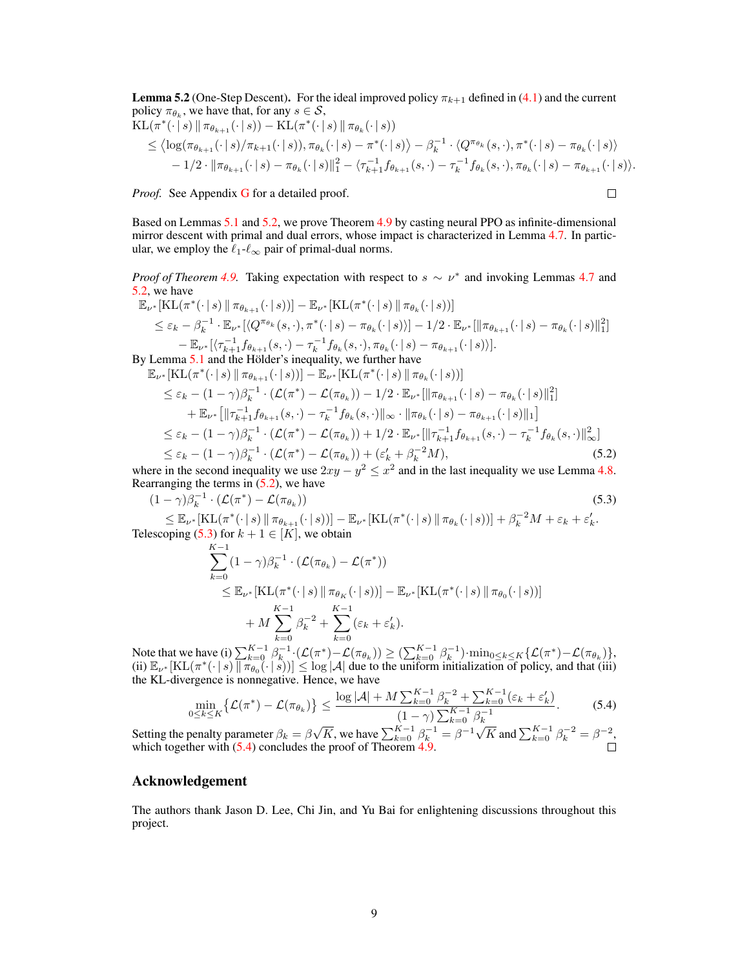**Lemma 5.2** (One-Step Descent). For the ideal improved policy  $\pi_{k+1}$  defined in (4.1) and the current policy  $\pi_{\theta_k}$ , we have that, for any  $s \in \mathcal{S}$ ,

$$
\begin{split} \mathrm{KL}(\pi^*(\cdot \,|\, s) \, \| \, \pi_{\theta_{k+1}}(\cdot \,|\, s)) &= \mathrm{KL}(\pi^*(\cdot \,|\, s) \, \| \, \pi_{\theta_k}(\cdot \,|\, s)) \\ &\leq \big\langle \log(\pi_{\theta_{k+1}}(\cdot \,|\, s) / \pi_{k+1}(\cdot \,|\, s)), \pi_{\theta_k}(\cdot \,|\, s) &= \pi^*(\cdot \,|\, s) \big\rangle - \beta_k^{-1} \cdot \langle Q^{\pi_{\theta_k}}(s, \cdot), \pi^*(\cdot \,|\, s) - \pi_{\theta_k}(\cdot \,|\, s) \rangle \\ &\quad - 1/2 \cdot \| \pi_{\theta_{k+1}}(\cdot \,|\, s) - \pi_{\theta_k}(\cdot \,|\, s) \big\|_1^2 - \langle \tau_{k+1}^{-1} f_{\theta_{k+1}}(s, \cdot) - \tau_k^{-1} f_{\theta_k}(s, \cdot), \pi_{\theta_k}(\cdot \,|\, s) - \pi_{\theta_{k+1}}(\cdot \,|\, s) \rangle. \end{split}
$$

*Proof.* See Appendix **G** for a detailed proof.

 $\Box$ 

Based on Lemmas 5.1 and 5.2, we prove Theorem 4.9 by casting neural PPO as infinite-dimensional mirror descent with primal and dual errors, whose impact is characterized in Lemma 4.7. In particular, we employ the  $\ell_1$ - $\ell_{\infty}$  pair of primal-dual norms.

*Proof of Theorem 4.9.* Taking expectation with respect to  $s \sim \nu^*$  and invoking Lemmas 4.7 and 5.2, we have

$$
\mathbb{E}_{\nu^*}[\mathrm{KL}(\pi^*(\cdot | s) \parallel \pi_{\theta_{k+1}}(\cdot | s))] - \mathbb{E}_{\nu^*}[\mathrm{KL}(\pi^*(\cdot | s) \parallel \pi_{\theta_k}(\cdot | s))]
$$
\n
$$
\leq \varepsilon_k - \beta_k^{-1} \cdot \mathbb{E}_{\nu^*}[\langle Q^{\pi_{\theta_k}}(s, \cdot), \pi^*(\cdot | s) - \pi_{\theta_k}(\cdot | s) \rangle] - 1/2 \cdot \mathbb{E}_{\nu^*}[\|\pi_{\theta_{k+1}}(\cdot | s) - \pi_{\theta_k}(\cdot | s)\|_1^2]
$$
\n
$$
-\mathbb{E}_{\nu^*}[\langle \tau_{k+1}^{-1} f_{\theta_{k+1}}(s, \cdot) - \tau_k^{-1} f_{\theta_k}(s, \cdot), \pi_{\theta_k}(\cdot | s) - \pi_{\theta_{k+1}}(\cdot | s) \rangle].
$$
\nBy Lemma 5.1 and the Hölder's inequality, we further have

$$
\mathbb{E}_{\nu^*}[\mathrm{KL}(\pi^*(\cdot | s) \| \pi_{\theta_{k+1}}(\cdot | s))] - \mathbb{E}_{\nu^*}[\mathrm{KL}(\pi^*(\cdot | s) \| \pi_{\theta_k}(\cdot | s))]
$$
\n
$$
\leq \varepsilon_k - (1 - \gamma)\beta_k^{-1} \cdot (\mathcal{L}(\pi^*) - \mathcal{L}(\pi_{\theta_k})) - 1/2 \cdot \mathbb{E}_{\nu^*}[\|\pi_{\theta_{k+1}}(\cdot | s) - \pi_{\theta_k}(\cdot | s)\|_1^2]
$$
\n
$$
+ \mathbb{E}_{\nu^*}[\|\tau_{k+1}^{-1} f_{\theta_{k+1}}(s, \cdot) - \tau_k^{-1} f_{\theta_k}(s, \cdot)\|_{\infty} \cdot \|\pi_{\theta_k}(\cdot | s) - \pi_{\theta_{k+1}}(\cdot | s)\|_1]
$$
\n
$$
\leq \varepsilon_k - (1 - \gamma)\beta_k^{-1} \cdot (\mathcal{L}(\pi^*) - \mathcal{L}(\pi_{\theta_k})) + 1/2 \cdot \mathbb{E}_{\nu^*}[\|\tau_{k+1}^{-1} f_{\theta_{k+1}}(s, \cdot) - \tau_k^{-1} f_{\theta_k}(s, \cdot)\|_{\infty}^2]
$$
\n
$$
\leq \varepsilon_k - (1 - \gamma)\beta_k^{-1} \cdot (\mathcal{L}(\pi^*) - \mathcal{L}(\pi_{\theta_k})) + (\varepsilon_k' + \beta_k^{-2}M),
$$
\n(5.2)

where in the second inequality we use  $2xy - y^2 \leq x^2$  and in the last inequality we use Lemma 4.8. Rearranging the terms in  $(5.2)$ , we have

$$
(1 - \gamma)\beta_k^{-1} \cdot (\mathcal{L}(\pi^*) - \mathcal{L}(\pi_{\theta_k}))
$$
\n
$$
\leq \mathbb{E}_{\nu^*}[\text{KL}(\pi^*(\cdot \mid s) \mid \pi_{\theta_{k+1}}(\cdot \mid s))] - \mathbb{E}_{\nu^*}[\text{KL}(\pi^*(\cdot \mid s) \mid \pi_{\theta_k}(\cdot \mid s))] + \beta_k^{-2}M + \varepsilon_k + \varepsilon'_k.
$$
\n(5.3)

Telescoping (5.3) for  $k + 1 \in [K]$ , we obtain

$$
\sum_{k=0}^{K-1} (1 - \gamma) \beta_k^{-1} \cdot (\mathcal{L}(\pi_{\theta_k}) - \mathcal{L}(\pi^*))
$$
\n
$$
\leq \mathbb{E}_{\nu^*} [\mathrm{KL}(\pi^*(\cdot | s) \|\pi_{\theta_K}(\cdot | s))] - \mathbb{E}_{\nu^*} [\mathrm{KL}(\pi^*(\cdot | s) \|\pi_{\theta_0}(\cdot | s))]
$$
\n
$$
+ M \sum_{k=0}^{K-1} \beta_k^{-2} + \sum_{k=0}^{K-1} (\varepsilon_k + \varepsilon'_k).
$$

Note that we have (i)  $\sum_{k=0}^{K=0}^{K=0}$   $(k=0)$ <br>  $\sum_{k=0}^{K-1} \beta_k^{-1} \left( \mathcal{L}(\pi^*) - \mathcal{L}(\pi_{\theta_k}) \right) \geq \left( \sum_{k=0}^{K-1} \beta_k^{-1} \right) \cdot \min_{0 \leq k \leq K} \{ \mathcal{L}(\pi^*) - \mathcal{L}(\pi_{\theta_k}) \},$ (ii)  $\mathbb{E}_{\nu^*}[\text{KL}(\pi^*(\cdot | s) \mid \pi_{\theta_0}(\cdot | s))] \leq \log |\mathcal{A}|$  due to the uniform initialization of policy, and that (iii) the KL-divergence is nonnegative. Hence, we have

$$
\min_{0 \le k \le K} \{ \mathcal{L}(\pi^*) - \mathcal{L}(\pi_{\theta_k}) \} \le \frac{\log |\mathcal{A}| + M \sum_{k=0}^{K-1} \beta_k^{-2} + \sum_{k=0}^{K-1} (\varepsilon_k + \varepsilon'_k)}{(1 - \gamma) \sum_{k=0}^{K-1} \beta_k^{-1}}.
$$
\n(5.4)

Setting the penalty parameter  $\beta_k = \beta \sqrt{K}$ , we have  $\sum_{k=0}^{K-1} \beta_k^{-1} = \beta^{-1} \sqrt{K}$  and  $\sum_{k=0}^{K-1} \beta_k^{-2} = \beta^{-2}$ , which together with  $(5.4)$  concludes the proof of Theorem 4.9.

# Acknowledgement

The authors thank Jason D. Lee, Chi Jin, and Yu Bai for enlightening discussions throughout this project.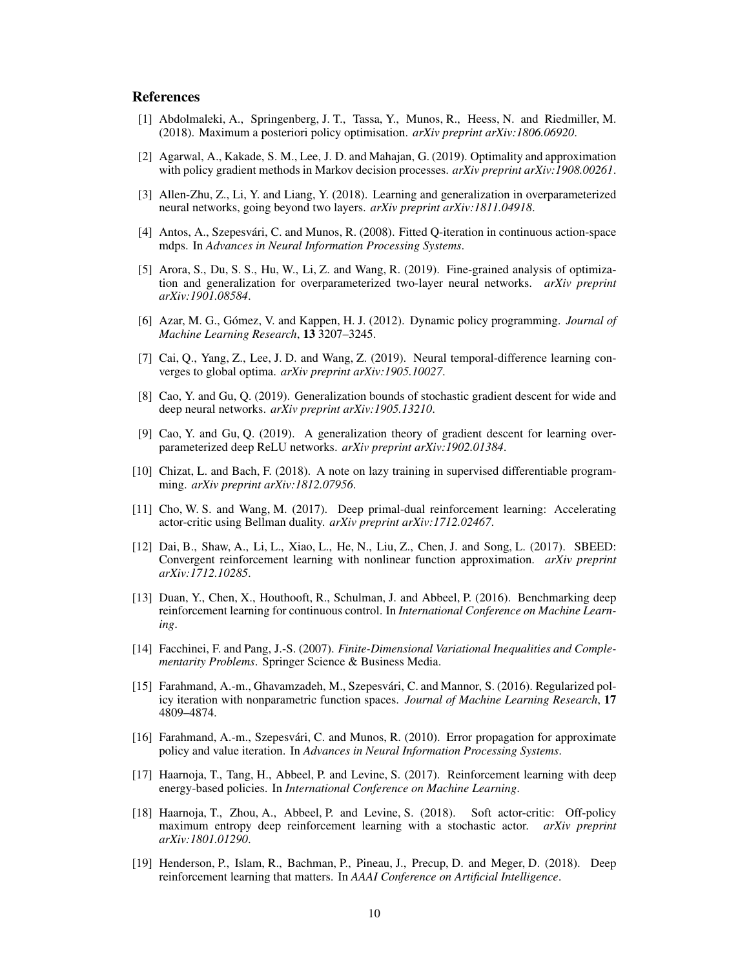# References

- [1] Abdolmaleki, A., Springenberg, J. T., Tassa, Y., Munos, R., Heess, N. and Riedmiller, M. (2018). Maximum a posteriori policy optimisation. *arXiv preprint arXiv:1806.06920*.
- [2] Agarwal, A., Kakade, S. M., Lee, J. D. and Mahajan, G. (2019). Optimality and approximation with policy gradient methods in Markov decision processes. *arXiv preprint arXiv:1908.00261*.
- [3] Allen-Zhu, Z., Li, Y. and Liang, Y. (2018). Learning and generalization in overparameterized neural networks, going beyond two layers. *arXiv preprint arXiv:1811.04918*.
- [4] Antos, A., Szepesvári, C. and Munos, R. (2008). Fitted Q-iteration in continuous action-space mdps. In *Advances in Neural Information Processing Systems*.
- [5] Arora, S., Du, S. S., Hu, W., Li, Z. and Wang, R. (2019). Fine-grained analysis of optimization and generalization for overparameterized two-layer neural networks. *arXiv preprint arXiv:1901.08584*.
- [6] Azar, M. G., Gómez, V. and Kappen, H. J. (2012). Dynamic policy programming. *Journal of Machine Learning Research*, 13 3207–3245.
- [7] Cai, Q., Yang, Z., Lee, J. D. and Wang, Z. (2019). Neural temporal-difference learning converges to global optima. *arXiv preprint arXiv:1905.10027*.
- [8] Cao, Y. and Gu, Q. (2019). Generalization bounds of stochastic gradient descent for wide and deep neural networks. *arXiv preprint arXiv:1905.13210*.
- [9] Cao, Y. and Gu, Q. (2019). A generalization theory of gradient descent for learning overparameterized deep ReLU networks. *arXiv preprint arXiv:1902.01384*.
- [10] Chizat, L. and Bach, F. (2018). A note on lazy training in supervised differentiable programming. *arXiv preprint arXiv:1812.07956*.
- [11] Cho, W. S. and Wang, M. (2017). Deep primal-dual reinforcement learning: Accelerating actor-critic using Bellman duality. *arXiv preprint arXiv:1712.02467*.
- [12] Dai, B., Shaw, A., Li, L., Xiao, L., He, N., Liu, Z., Chen, J. and Song, L. (2017). SBEED: Convergent reinforcement learning with nonlinear function approximation. *arXiv preprint arXiv:1712.10285*.
- [13] Duan, Y., Chen, X., Houthooft, R., Schulman, J. and Abbeel, P. (2016). Benchmarking deep reinforcement learning for continuous control. In *International Conference on Machine Learning*.
- [14] Facchinei, F. and Pang, J.-S. (2007). *Finite-Dimensional Variational Inequalities and Complementarity Problems*. Springer Science & Business Media.
- [15] Farahmand, A.-m., Ghavamzadeh, M., Szepesvári, C. and Mannor, S. (2016). Regularized policy iteration with nonparametric function spaces. *Journal of Machine Learning Research*, 17 4809–4874.
- [16] Farahmand, A.-m., Szepesvári, C. and Munos, R. (2010). Error propagation for approximate policy and value iteration. In *Advances in Neural Information Processing Systems*.
- [17] Haarnoja, T., Tang, H., Abbeel, P. and Levine, S. (2017). Reinforcement learning with deep energy-based policies. In *International Conference on Machine Learning*.
- [18] Haarnoja, T., Zhou, A., Abbeel, P. and Levine, S. (2018). Soft actor-critic: Off-policy maximum entropy deep reinforcement learning with a stochastic actor. *arXiv preprint arXiv:1801.01290*.
- [19] Henderson, P., Islam, R., Bachman, P., Pineau, J., Precup, D. and Meger, D. (2018). Deep reinforcement learning that matters. In *AAAI Conference on Artificial Intelligence*.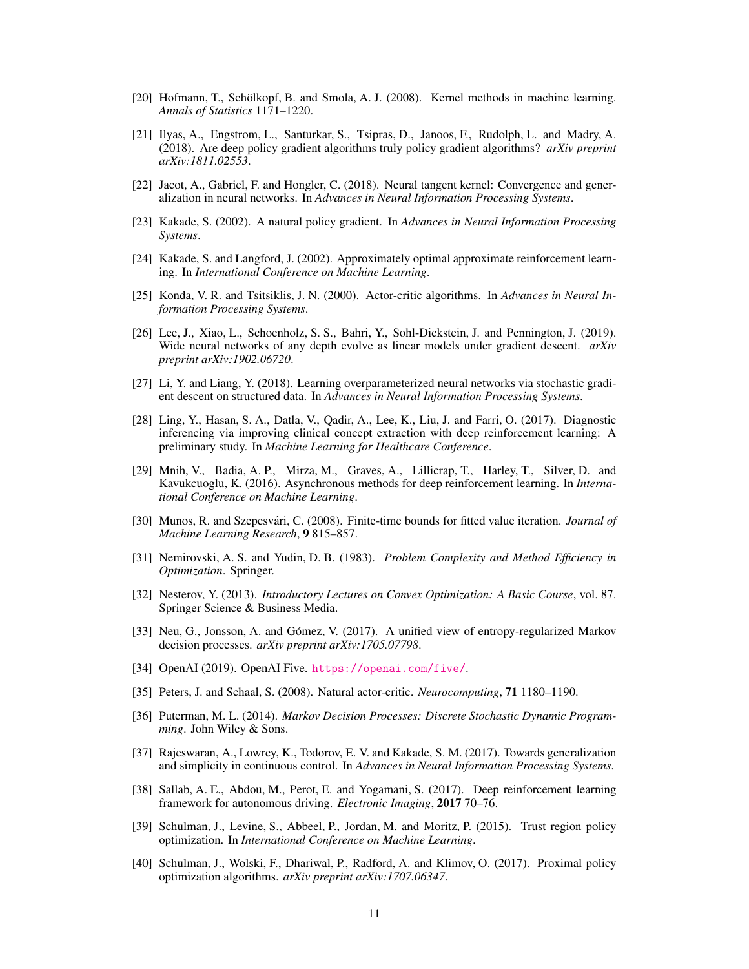- [20] Hofmann, T., Schölkopf, B. and Smola, A. J. (2008). Kernel methods in machine learning. *Annals of Statistics* 1171–1220.
- [21] Ilyas, A., Engstrom, L., Santurkar, S., Tsipras, D., Janoos, F., Rudolph, L. and Madry, A. (2018). Are deep policy gradient algorithms truly policy gradient algorithms? *arXiv preprint arXiv:1811.02553*.
- [22] Jacot, A., Gabriel, F. and Hongler, C. (2018). Neural tangent kernel: Convergence and generalization in neural networks. In *Advances in Neural Information Processing Systems*.
- [23] Kakade, S. (2002). A natural policy gradient. In *Advances in Neural Information Processing Systems*.
- [24] Kakade, S. and Langford, J. (2002). Approximately optimal approximate reinforcement learning. In *International Conference on Machine Learning*.
- [25] Konda, V. R. and Tsitsiklis, J. N. (2000). Actor-critic algorithms. In *Advances in Neural Information Processing Systems*.
- [26] Lee, J., Xiao, L., Schoenholz, S. S., Bahri, Y., Sohl-Dickstein, J. and Pennington, J. (2019). Wide neural networks of any depth evolve as linear models under gradient descent. *arXiv preprint arXiv:1902.06720*.
- [27] Li, Y. and Liang, Y. (2018). Learning overparameterized neural networks via stochastic gradient descent on structured data. In *Advances in Neural Information Processing Systems*.
- [28] Ling, Y., Hasan, S. A., Datla, V., Qadir, A., Lee, K., Liu, J. and Farri, O. (2017). Diagnostic inferencing via improving clinical concept extraction with deep reinforcement learning: A preliminary study. In *Machine Learning for Healthcare Conference*.
- [29] Mnih, V., Badia, A. P., Mirza, M., Graves, A., Lillicrap, T., Harley, T., Silver, D. and Kavukcuoglu, K. (2016). Asynchronous methods for deep reinforcement learning. In *International Conference on Machine Learning*.
- [30] Munos, R. and Szepesvári, C. (2008). Finite-time bounds for fitted value iteration. *Journal of Machine Learning Research*, 9 815–857.
- [31] Nemirovski, A. S. and Yudin, D. B. (1983). *Problem Complexity and Method Efficiency in Optimization*. Springer.
- [32] Nesterov, Y. (2013). *Introductory Lectures on Convex Optimization: A Basic Course*, vol. 87. Springer Science & Business Media.
- [33] Neu, G., Jonsson, A. and Gómez, V. (2017). A unified view of entropy-regularized Markov decision processes. *arXiv preprint arXiv:1705.07798*.
- [34] OpenAI (2019). OpenAI Five. https://openai.com/five/.
- [35] Peters, J. and Schaal, S. (2008). Natural actor-critic. *Neurocomputing*, 71 1180–1190.
- [36] Puterman, M. L. (2014). *Markov Decision Processes: Discrete Stochastic Dynamic Programming*. John Wiley & Sons.
- [37] Rajeswaran, A., Lowrey, K., Todorov, E. V. and Kakade, S. M. (2017). Towards generalization and simplicity in continuous control. In *Advances in Neural Information Processing Systems*.
- [38] Sallab, A. E., Abdou, M., Perot, E. and Yogamani, S. (2017). Deep reinforcement learning framework for autonomous driving. *Electronic Imaging*, 2017 70–76.
- [39] Schulman, J., Levine, S., Abbeel, P., Jordan, M. and Moritz, P. (2015). Trust region policy optimization. In *International Conference on Machine Learning*.
- [40] Schulman, J., Wolski, F., Dhariwal, P., Radford, A. and Klimov, O. (2017). Proximal policy optimization algorithms. *arXiv preprint arXiv:1707.06347*.